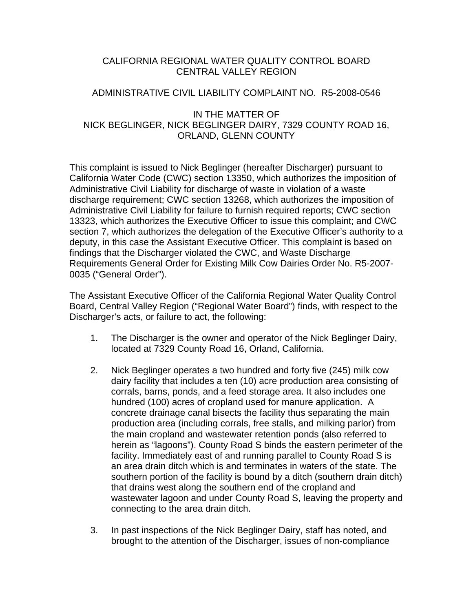# CALIFORNIA REGIONAL WATER QUALITY CONTROL BOARD CENTRAL VALLEY REGION

## ADMINISTRATIVE CIVIL LIABILITY COMPLAINT NO. R5-2008-0546

## IN THE MATTER OF NICK BEGLINGER, NICK BEGLINGER DAIRY, 7329 COUNTY ROAD 16, ORLAND, GLENN COUNTY

This complaint is issued to Nick Beglinger (hereafter Discharger) pursuant to California Water Code (CWC) section 13350, which authorizes the imposition of Administrative Civil Liability for discharge of waste in violation of a waste discharge requirement; CWC section 13268, which authorizes the imposition of Administrative Civil Liability for failure to furnish required reports; CWC section 13323, which authorizes the Executive Officer to issue this complaint; and CWC section 7, which authorizes the delegation of the Executive Officer's authority to a deputy, in this case the Assistant Executive Officer. This complaint is based on findings that the Discharger violated the CWC, and Waste Discharge Requirements General Order for Existing Milk Cow Dairies Order No. R5-2007- 0035 ("General Order").

The Assistant Executive Officer of the California Regional Water Quality Control Board, Central Valley Region ("Regional Water Board") finds, with respect to the Discharger's acts, or failure to act, the following:

- 1. The Discharger is the owner and operator of the Nick Beglinger Dairy, located at 7329 County Road 16, Orland, California.
- 2. Nick Beglinger operates a two hundred and forty five (245) milk cow dairy facility that includes a ten (10) acre production area consisting of corrals, barns, ponds, and a feed storage area. It also includes one hundred (100) acres of cropland used for manure application. A concrete drainage canal bisects the facility thus separating the main production area (including corrals, free stalls, and milking parlor) from the main cropland and wastewater retention ponds (also referred to herein as "lagoons"). County Road S binds the eastern perimeter of the facility. Immediately east of and running parallel to County Road S is an area drain ditch which is and terminates in waters of the state. The southern portion of the facility is bound by a ditch (southern drain ditch) that drains west along the southern end of the cropland and wastewater lagoon and under County Road S, leaving the property and connecting to the area drain ditch.
- 3. In past inspections of the Nick Beglinger Dairy, staff has noted, and brought to the attention of the Discharger, issues of non-compliance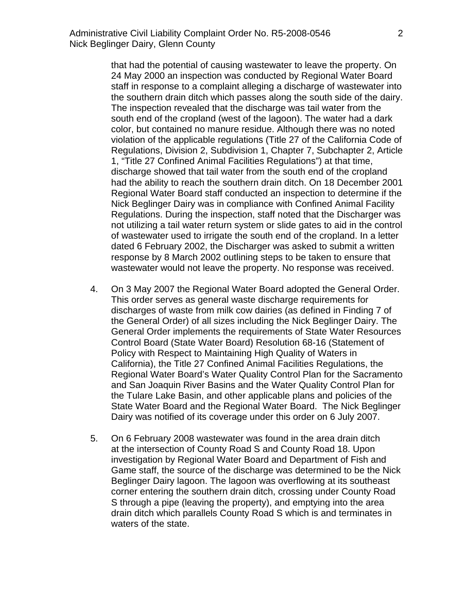that had the potential of causing wastewater to leave the property. On 24 May 2000 an inspection was conducted by Regional Water Board staff in response to a complaint alleging a discharge of wastewater into the southern drain ditch which passes along the south side of the dairy. The inspection revealed that the discharge was tail water from the south end of the cropland (west of the lagoon). The water had a dark color, but contained no manure residue. Although there was no noted violation of the applicable regulations (Title 27 of the California Code of Regulations, Division 2, Subdivision 1, Chapter 7, Subchapter 2, Article 1, "Title 27 Confined Animal Facilities Regulations") at that time, discharge showed that tail water from the south end of the cropland had the ability to reach the southern drain ditch. On 18 December 2001 Regional Water Board staff conducted an inspection to determine if the Nick Beglinger Dairy was in compliance with Confined Animal Facility Regulations. During the inspection, staff noted that the Discharger was not utilizing a tail water return system or slide gates to aid in the control of wastewater used to irrigate the south end of the cropland. In a letter dated 6 February 2002, the Discharger was asked to submit a written response by 8 March 2002 outlining steps to be taken to ensure that wastewater would not leave the property. No response was received.

- 4. On 3 May 2007 the Regional Water Board adopted the General Order. This order serves as general waste discharge requirements for discharges of waste from milk cow dairies (as defined in Finding 7 of the General Order) of all sizes including the Nick Beglinger Dairy. The General Order implements the requirements of State Water Resources Control Board (State Water Board) Resolution 68-16 (Statement of Policy with Respect to Maintaining High Quality of Waters in California), the Title 27 Confined Animal Facilities Regulations, the Regional Water Board's Water Quality Control Plan for the Sacramento and San Joaquin River Basins and the Water Quality Control Plan for the Tulare Lake Basin, and other applicable plans and policies of the State Water Board and the Regional Water Board. The Nick Beglinger Dairy was notified of its coverage under this order on 6 July 2007.
- 5. On 6 February 2008 wastewater was found in the area drain ditch at the intersection of County Road S and County Road 18. Upon investigation by Regional Water Board and Department of Fish and Game staff, the source of the discharge was determined to be the Nick Beglinger Dairy lagoon. The lagoon was overflowing at its southeast corner entering the southern drain ditch, crossing under County Road S through a pipe (leaving the property), and emptying into the area drain ditch which parallels County Road S which is and terminates in waters of the state.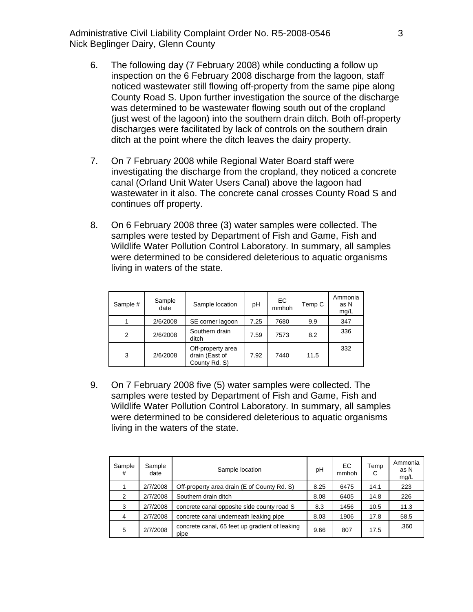Administrative Civil Liability Complaint Order No. R5-2008-0546 Nick Beglinger Dairy, Glenn County

- 6. The following day (7 February 2008) while conducting a follow up inspection on the 6 February 2008 discharge from the lagoon, staff noticed wastewater still flowing off-property from the same pipe along County Road S. Upon further investigation the source of the discharge was determined to be wastewater flowing south out of the cropland (just west of the lagoon) into the southern drain ditch. Both off-property discharges were facilitated by lack of controls on the southern drain ditch at the point where the ditch leaves the dairy property.
- 7. On 7 February 2008 while Regional Water Board staff were investigating the discharge from the cropland, they noticed a concrete canal (Orland Unit Water Users Canal) above the lagoon had wastewater in it also. The concrete canal crosses County Road S and continues off property.
- 8. On 6 February 2008 three (3) water samples were collected. The samples were tested by Department of Fish and Game, Fish and Wildlife Water Pollution Control Laboratory. In summary, all samples were determined to be considered deleterious to aquatic organisms living in waters of the state.

| Sample # | Sample<br>date | Sample location                                      | pH   | EC<br>mmhoh | Temp C | Ammonia<br>as N<br>mg/L |
|----------|----------------|------------------------------------------------------|------|-------------|--------|-------------------------|
|          | 2/6/2008       | SE corner lagoon                                     | 7.25 | 7680        | 9.9    | 347                     |
| 2        | 2/6/2008       | Southern drain<br>ditch                              | 7.59 | 7573        | 8.2    | 336                     |
| 3        | 2/6/2008       | Off-property area<br>drain (East of<br>County Rd. S) | 7.92 | 7440        | 11.5   | 332                     |

9. On 7 February 2008 five (5) water samples were collected. The samples were tested by Department of Fish and Game, Fish and Wildlife Water Pollution Control Laboratory. In summary, all samples were determined to be considered deleterious to aquatic organisms living in the waters of the state.

| Sample<br># | Sample<br>date | Sample location                                        | рH   | ЕC<br>mmhoh | Temp<br>С | Ammonia<br>as N<br>mg/L |
|-------------|----------------|--------------------------------------------------------|------|-------------|-----------|-------------------------|
|             | 2/7/2008       | Off-property area drain (E of County Rd. S)            | 8.25 | 6475        | 14.1      | 223                     |
| 2           | 2/7/2008       | Southern drain ditch                                   | 8.08 | 6405        | 14.8      | 226                     |
| 3           | 2/7/2008       | concrete canal opposite side county road S             | 8.3  | 1456        | 10.5      | 11.3                    |
| 4           | 2/7/2008       | concrete canal underneath leaking pipe                 | 8.03 | 1906        | 17.8      | 58.5                    |
| 5           | 2/7/2008       | concrete canal, 65 feet up gradient of leaking<br>pipe | 9.66 | 807         | 17.5      | .360                    |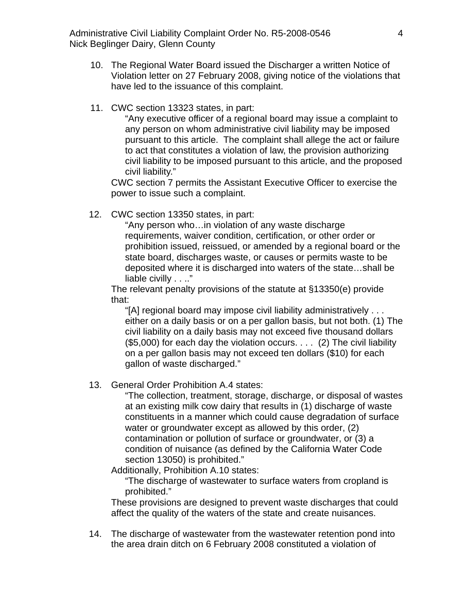Administrative Civil Liability Complaint Order No. R5-2008-0546 Nick Beglinger Dairy, Glenn County

- 10. The Regional Water Board issued the Discharger a written Notice of Violation letter on 27 February 2008, giving notice of the violations that have led to the issuance of this complaint.
- 11. CWC section 13323 states, in part:

"Any executive officer of a regional board may issue a complaint to any person on whom administrative civil liability may be imposed pursuant to this article. The complaint shall allege the act or failure to act that constitutes a violation of law, the provision authorizing civil liability to be imposed pursuant to this article, and the proposed civil liability."

CWC section 7 permits the Assistant Executive Officer to exercise the power to issue such a complaint.

12. CWC section 13350 states, in part:

"Any person who…in violation of any waste discharge requirements, waiver condition, certification, or other order or prohibition issued, reissued, or amended by a regional board or the state board, discharges waste, or causes or permits waste to be deposited where it is discharged into waters of the state…shall be liable civilly . . .."

The relevant penalty provisions of the statute at §13350(e) provide that:

"[A] regional board may impose civil liability administratively . . . either on a daily basis or on a per gallon basis, but not both. (1) The civil liability on a daily basis may not exceed five thousand dollars (\$5,000) for each day the violation occurs. . . . (2) The civil liability on a per gallon basis may not exceed ten dollars (\$10) for each gallon of waste discharged."

13. General Order Prohibition A.4 states:

"The collection, treatment, storage, discharge, or disposal of wastes at an existing milk cow dairy that results in (1) discharge of waste constituents in a manner which could cause degradation of surface water or groundwater except as allowed by this order, (2) contamination or pollution of surface or groundwater, or (3) a condition of nuisance (as defined by the California Water Code section 13050) is prohibited."

Additionally, Prohibition A.10 states:

"The discharge of wastewater to surface waters from cropland is prohibited."

These provisions are designed to prevent waste discharges that could affect the quality of the waters of the state and create nuisances.

14. The discharge of wastewater from the wastewater retention pond into the area drain ditch on 6 February 2008 constituted a violation of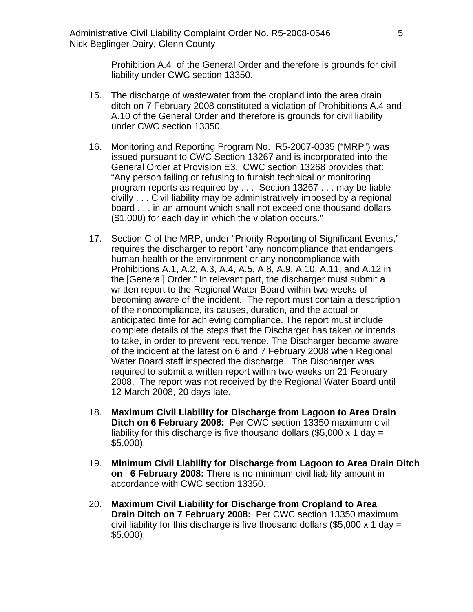Prohibition A.4 of the General Order and therefore is grounds for civil liability under CWC section 13350.

- 15. The discharge of wastewater from the cropland into the area drain ditch on 7 February 2008 constituted a violation of Prohibitions A.4 and A.10 of the General Order and therefore is grounds for civil liability under CWC section 13350.
- 16. Monitoring and Reporting Program No. R5-2007-0035 ("MRP") was issued pursuant to CWC Section 13267 and is incorporated into the General Order at Provision E3. CWC section 13268 provides that: "Any person failing or refusing to furnish technical or monitoring program reports as required by . . . Section 13267 . . . may be liable civilly . . . Civil liability may be administratively imposed by a regional board . . . in an amount which shall not exceed one thousand dollars (\$1,000) for each day in which the violation occurs."
- 17. Section C of the MRP, under "Priority Reporting of Significant Events," requires the discharger to report "any noncompliance that endangers human health or the environment or any noncompliance with Prohibitions A.1, A.2, A.3, A.4, A.5, A.8, A.9, A.10, A.11, and A.12 in the [General] Order." In relevant part, the discharger must submit a written report to the Regional Water Board within two weeks of becoming aware of the incident. The report must contain a description of the noncompliance, its causes, duration, and the actual or anticipated time for achieving compliance. The report must include complete details of the steps that the Discharger has taken or intends to take, in order to prevent recurrence. The Discharger became aware of the incident at the latest on 6 and 7 February 2008 when Regional Water Board staff inspected the discharge. The Discharger was required to submit a written report within two weeks on 21 February 2008. The report was not received by the Regional Water Board until 12 March 2008, 20 days late.
- 18. **Maximum Civil Liability for Discharge from Lagoon to Area Drain Ditch on 6 February 2008:** Per CWC section 13350 maximum civil liability for this discharge is five thousand dollars (\$5,000  $\times$  1 day = \$5,000).
- 19. **Minimum Civil Liability for Discharge from Lagoon to Area Drain Ditch on 6 February 2008:** There is no minimum civil liability amount in accordance with CWC section 13350.
- 20. **Maximum Civil Liability for Discharge from Cropland to Area Drain Ditch on 7 February 2008:** Per CWC section 13350 maximum civil liability for this discharge is five thousand dollars  $(\$5,000 \times 1$  day = \$5,000).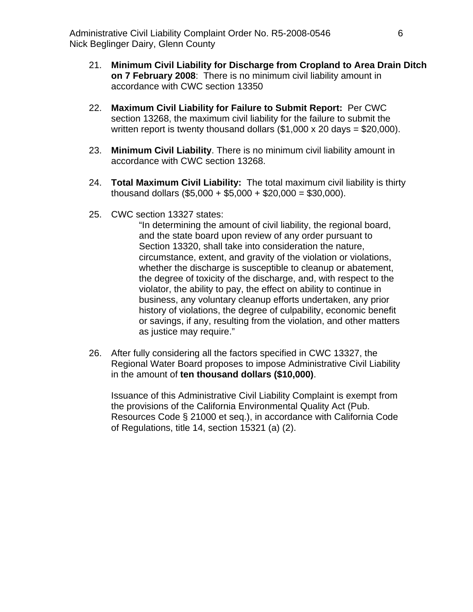- 21. **Minimum Civil Liability for Discharge from Cropland to Area Drain Ditch on 7 February 2008**: There is no minimum civil liability amount in accordance with CWC section 13350
- 22. **Maximum Civil Liability for Failure to Submit Report:** Per CWC section 13268, the maximum civil liability for the failure to submit the written report is twenty thousand dollars  $(\$1,000 \times 20 \text{ days} = \$20,000)$ .
- 23. **Minimum Civil Liability**. There is no minimum civil liability amount in accordance with CWC section 13268.
- 24. **Total Maximum Civil Liability:** The total maximum civil liability is thirty thousand dollars (\$5,000 + \$5,000 + \$20,000 = \$30,000).
- 25. CWC section 13327 states:

"In determining the amount of civil liability, the regional board, and the state board upon review of any order pursuant to Section 13320, shall take into consideration the nature, circumstance, extent, and gravity of the violation or violations, whether the discharge is susceptible to cleanup or abatement, the degree of toxicity of the discharge, and, with respect to the violator, the ability to pay, the effect on ability to continue in business, any voluntary cleanup efforts undertaken, any prior history of violations, the degree of culpability, economic benefit or savings, if any, resulting from the violation, and other matters as justice may require."

26. After fully considering all the factors specified in CWC 13327, the Regional Water Board proposes to impose Administrative Civil Liability in the amount of **ten thousand dollars (\$10,000)**.

Issuance of this Administrative Civil Liability Complaint is exempt from the provisions of the California Environmental Quality Act (Pub. Resources Code § 21000 et seq.), in accordance with California Code of Regulations, title 14, section 15321 (a) (2).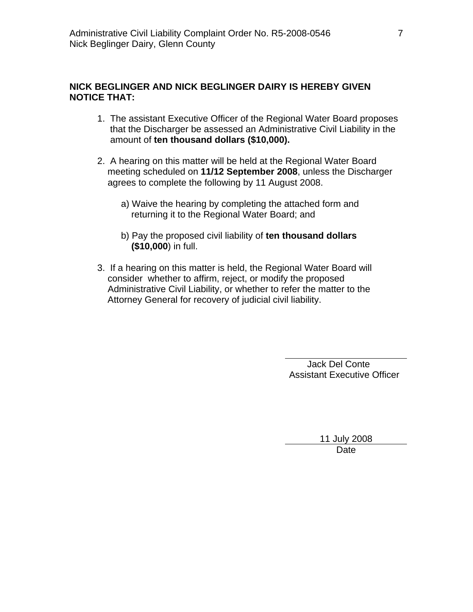## **NICK BEGLINGER AND NICK BEGLINGER DAIRY IS HEREBY GIVEN NOTICE THAT:**

- 1. The assistant Executive Officer of the Regional Water Board proposes that the Discharger be assessed an Administrative Civil Liability in the amount of **ten thousand dollars (\$10,000).**
- 2. A hearing on this matter will be held at the Regional Water Board meeting scheduled on **11/12 September 2008**, unless the Discharger agrees to complete the following by 11 August 2008.
	- a) Waive the hearing by completing the attached form and returning it to the Regional Water Board; and
	- b) Pay the proposed civil liability of **ten thousand dollars (\$10,000**) in full.
- 3. If a hearing on this matter is held, the Regional Water Board will consider whether to affirm, reject, or modify the proposed Administrative Civil Liability, or whether to refer the matter to the Attorney General for recovery of judicial civil liability.

 Jack Del Conte Assistant Executive Officer

> 11 July 2008 Date